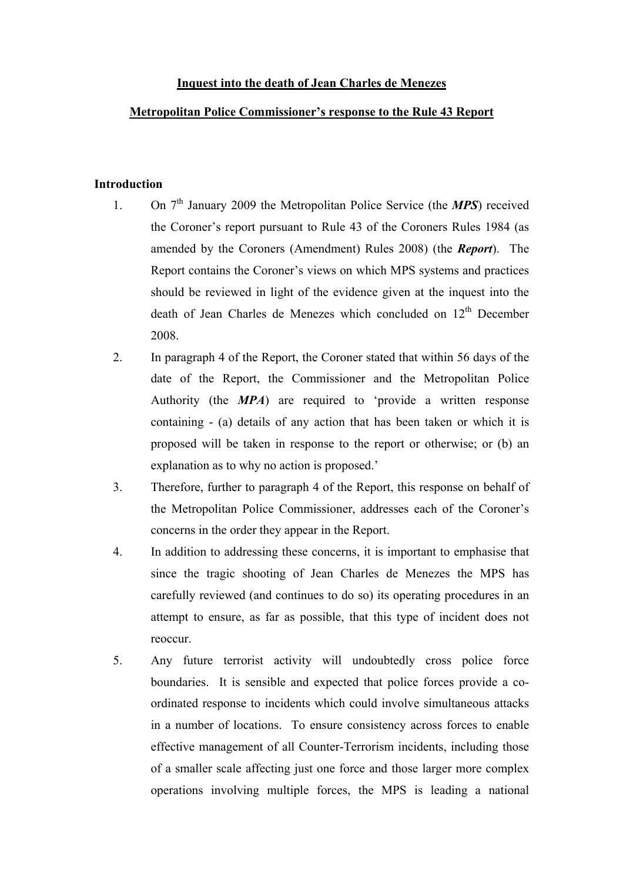# **Inquest into the death of Jean Charles de Menezes**

## **Metropolitan Police Commissioner's response to the Rule 43 Report**

## **Introduction**

- 1. On 7th January 2009 the Metropolitan Police Service (the *MPS*) received the Coroner's report pursuant to Rule 43 of the Coroners Rules 1984 (as amended by the Coroners (Amendment) Rules 2008) (the *Report*). The Report contains the Coroner's views on which MPS systems and practices should be reviewed in light of the evidence given at the inquest into the death of Jean Charles de Menezes which concluded on 12<sup>th</sup> December 2008.
- 2. In paragraph 4 of the Report, the Coroner stated that within 56 days of the date of the Report, the Commissioner and the Metropolitan Police Authority (the *MPA*) are required to 'provide a written response containing - (a) details of any action that has been taken or which it is proposed will be taken in response to the report or otherwise; or (b) an explanation as to why no action is proposed.'
- 3. Therefore, further to paragraph 4 of the Report, this response on behalf of the Metropolitan Police Commissioner, addresses each of the Coroner's concerns in the order they appear in the Report.
- 4. In addition to addressing these concerns, it is important to emphasise that since the tragic shooting of Jean Charles de Menezes the MPS has carefully reviewed (and continues to do so) its operating procedures in an attempt to ensure, as far as possible, that this type of incident does not reoccur.
- 5. Any future terrorist activity will undoubtedly cross police force boundaries. It is sensible and expected that police forces provide a coordinated response to incidents which could involve simultaneous attacks in a number of locations. To ensure consistency across forces to enable effective management of all Counter-Terrorism incidents, including those of a smaller scale affecting just one force and those larger more complex operations involving multiple forces, the MPS is leading a national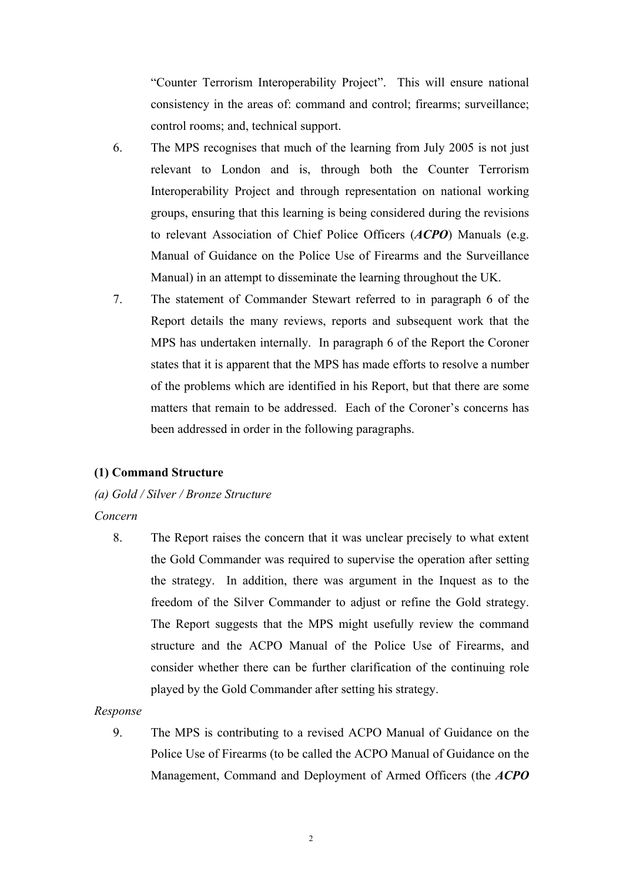"Counter Terrorism Interoperability Project". This will ensure national consistency in the areas of: command and control; firearms; surveillance; control rooms; and, technical support.

- 6. The MPS recognises that much of the learning from July 2005 is not just relevant to London and is, through both the Counter Terrorism Interoperability Project and through representation on national working groups, ensuring that this learning is being considered during the revisions to relevant Association of Chief Police Officers (*ACPO*) Manuals (e.g. Manual of Guidance on the Police Use of Firearms and the Surveillance Manual) in an attempt to disseminate the learning throughout the UK.
- 7. The statement of Commander Stewart referred to in paragraph 6 of the Report details the many reviews, reports and subsequent work that the MPS has undertaken internally. In paragraph 6 of the Report the Coroner states that it is apparent that the MPS has made efforts to resolve a number of the problems which are identified in his Report, but that there are some matters that remain to be addressed. Each of the Coroner's concerns has been addressed in order in the following paragraphs.

#### **(1) Command Structure**

## *(a) Gold / Silver / Bronze Structure*

#### *Concern*

8. The Report raises the concern that it was unclear precisely to what extent the Gold Commander was required to supervise the operation after setting the strategy. In addition, there was argument in the Inquest as to the freedom of the Silver Commander to adjust or refine the Gold strategy. The Report suggests that the MPS might usefully review the command structure and the ACPO Manual of the Police Use of Firearms, and consider whether there can be further clarification of the continuing role played by the Gold Commander after setting his strategy.

#### *Response*

9. The MPS is contributing to a revised ACPO Manual of Guidance on the Police Use of Firearms (to be called the ACPO Manual of Guidance on the Management, Command and Deployment of Armed Officers (the *ACPO*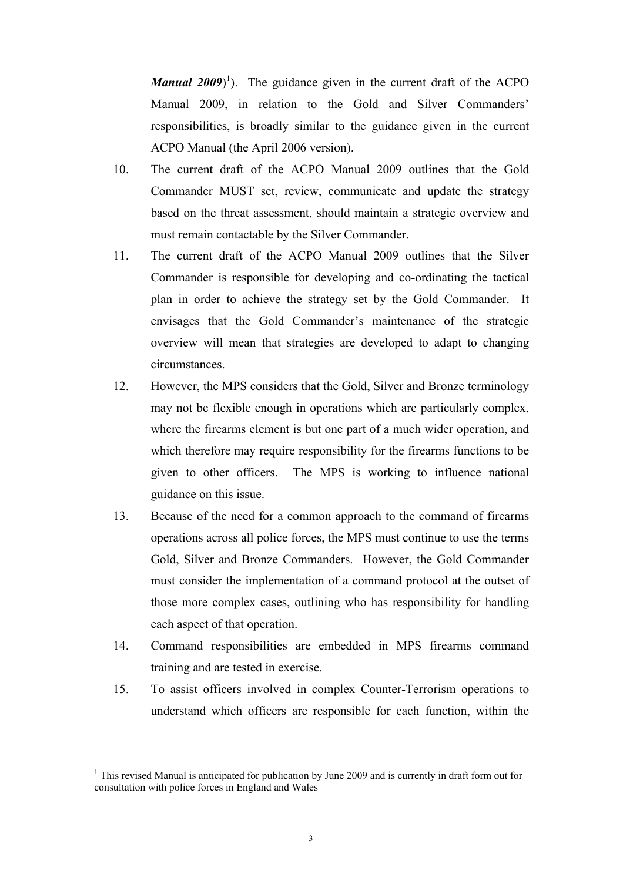*Manual 2009*<sup> $\}$ </sup>). The guidance given in the current draft of the ACPO Manual 2009, in relation to the Gold and Silver Commanders' responsibilities, is broadly similar to the guidance given in the current ACPO Manual (the April 2006 version).

- 10. The current draft of the ACPO Manual 2009 outlines that the Gold Commander MUST set, review, communicate and update the strategy based on the threat assessment, should maintain a strategic overview and must remain contactable by the Silver Commander.
- 11. The current draft of the ACPO Manual 2009 outlines that the Silver Commander is responsible for developing and co-ordinating the tactical plan in order to achieve the strategy set by the Gold Commander. It envisages that the Gold Commander's maintenance of the strategic overview will mean that strategies are developed to adapt to changing circumstances.
- 12. However, the MPS considers that the Gold, Silver and Bronze terminology may not be flexible enough in operations which are particularly complex, where the firearms element is but one part of a much wider operation, and which therefore may require responsibility for the firearms functions to be given to other officers. The MPS is working to influence national guidance on this issue.
- 13. Because of the need for a common approach to the command of firearms operations across all police forces, the MPS must continue to use the terms Gold, Silver and Bronze Commanders. However, the Gold Commander must consider the implementation of a command protocol at the outset of those more complex cases, outlining who has responsibility for handling each aspect of that operation.
- 14. Command responsibilities are embedded in MPS firearms command training and are tested in exercise.
- 15. To assist officers involved in complex Counter-Terrorism operations to understand which officers are responsible for each function, within the

 $\overline{a}$ 

<span id="page-2-0"></span><sup>&</sup>lt;sup>1</sup> This revised Manual is anticipated for publication by June 2009 and is currently in draft form out for consultation with police forces in England and Wales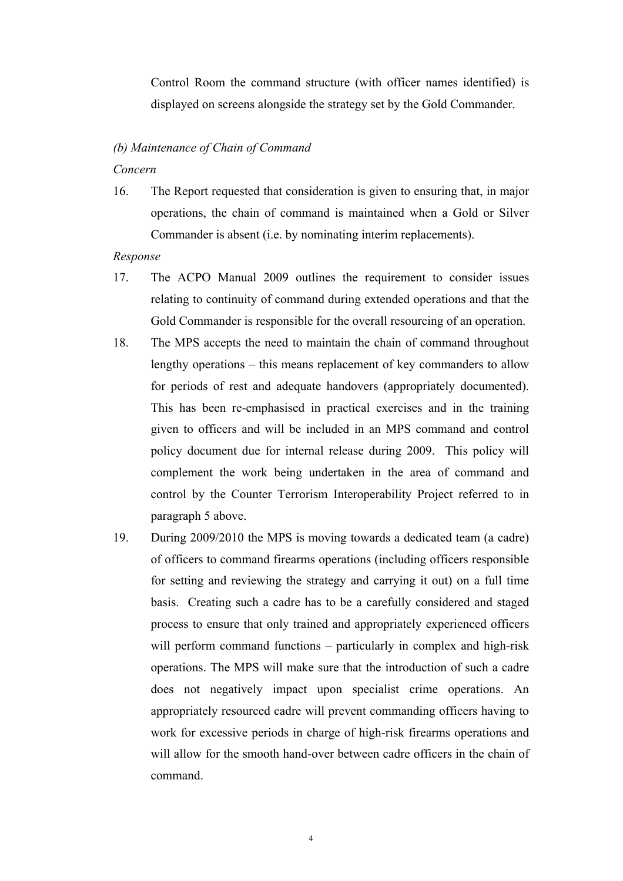Control Room the command structure (with officer names identified) is displayed on screens alongside the strategy set by the Gold Commander.

# *(b) Maintenance of Chain of Command*

#### *Concern*

16. The Report requested that consideration is given to ensuring that, in major operations, the chain of command is maintained when a Gold or Silver Commander is absent (i.e. by nominating interim replacements).

- 17. The ACPO Manual 2009 outlines the requirement to consider issues relating to continuity of command during extended operations and that the Gold Commander is responsible for the overall resourcing of an operation.
- 18. The MPS accepts the need to maintain the chain of command throughout lengthy operations – this means replacement of key commanders to allow for periods of rest and adequate handovers (appropriately documented). This has been re-emphasised in practical exercises and in the training given to officers and will be included in an MPS command and control policy document due for internal release during 2009. This policy will complement the work being undertaken in the area of command and control by the Counter Terrorism Interoperability Project referred to in paragraph 5 above.
- 19. During 2009/2010 the MPS is moving towards a dedicated team (a cadre) of officers to command firearms operations (including officers responsible for setting and reviewing the strategy and carrying it out) on a full time basis. Creating such a cadre has to be a carefully considered and staged process to ensure that only trained and appropriately experienced officers will perform command functions – particularly in complex and high-risk operations. The MPS will make sure that the introduction of such a cadre does not negatively impact upon specialist crime operations. An appropriately resourced cadre will prevent commanding officers having to work for excessive periods in charge of high-risk firearms operations and will allow for the smooth hand-over between cadre officers in the chain of command.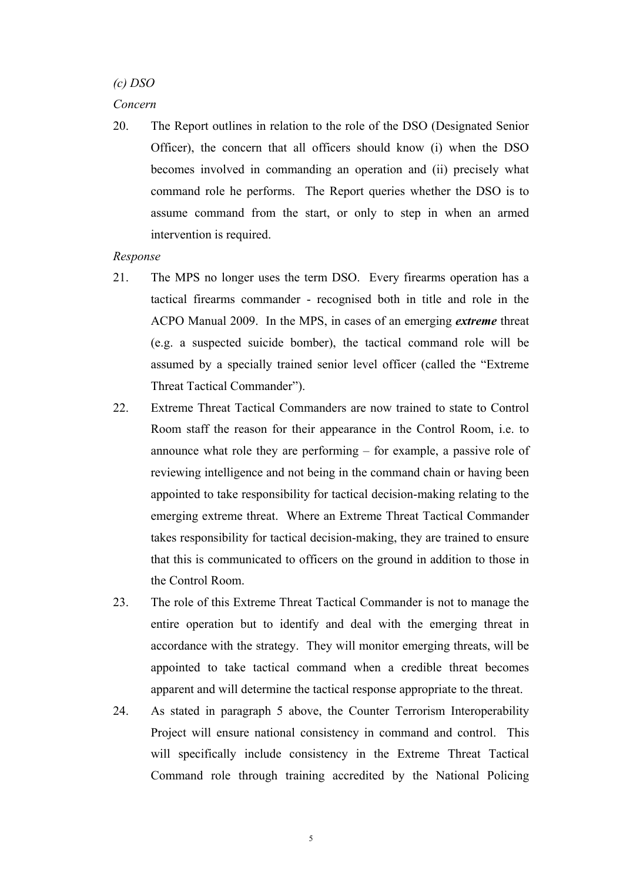*(c) DSO* 

#### *Concern*

20. The Report outlines in relation to the role of the DSO (Designated Senior Officer), the concern that all officers should know (i) when the DSO becomes involved in commanding an operation and (ii) precisely what command role he performs. The Report queries whether the DSO is to assume command from the start, or only to step in when an armed intervention is required.

- 21. The MPS no longer uses the term DSO. Every firearms operation has a tactical firearms commander - recognised both in title and role in the ACPO Manual 2009. In the MPS, in cases of an emerging *extreme* threat (e.g. a suspected suicide bomber), the tactical command role will be assumed by a specially trained senior level officer (called the "Extreme Threat Tactical Commander").
- 22. Extreme Threat Tactical Commanders are now trained to state to Control Room staff the reason for their appearance in the Control Room, i.e. to announce what role they are performing – for example, a passive role of reviewing intelligence and not being in the command chain or having been appointed to take responsibility for tactical decision-making relating to the emerging extreme threat. Where an Extreme Threat Tactical Commander takes responsibility for tactical decision-making, they are trained to ensure that this is communicated to officers on the ground in addition to those in the Control Room.
- 23. The role of this Extreme Threat Tactical Commander is not to manage the entire operation but to identify and deal with the emerging threat in accordance with the strategy. They will monitor emerging threats, will be appointed to take tactical command when a credible threat becomes apparent and will determine the tactical response appropriate to the threat.
- 24. As stated in paragraph 5 above, the Counter Terrorism Interoperability Project will ensure national consistency in command and control. This will specifically include consistency in the Extreme Threat Tactical Command role through training accredited by the National Policing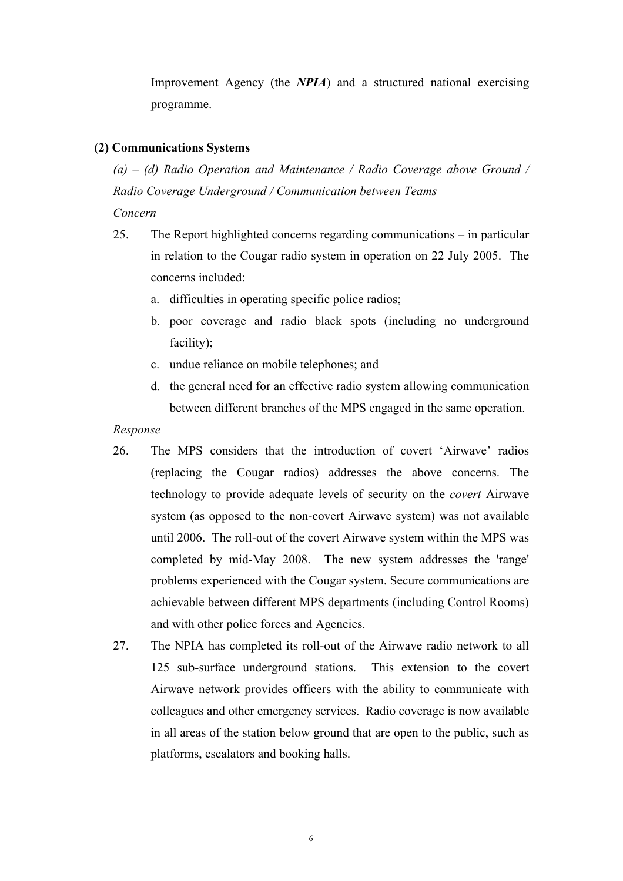Improvement Agency (the *NPIA*) and a structured national exercising programme.

# **(2) Communications Systems**

*(a) – (d) Radio Operation and Maintenance / Radio Coverage above Ground / Radio Coverage Underground / Communication between Teams* 

*Concern* 

- 25. The Report highlighted concerns regarding communications in particular in relation to the Cougar radio system in operation on 22 July 2005. The concerns included:
	- a. difficulties in operating specific police radios;
	- b. poor coverage and radio black spots (including no underground facility);
	- c. undue reliance on mobile telephones; and
	- d. the general need for an effective radio system allowing communication between different branches of the MPS engaged in the same operation.

- 26. The MPS considers that the introduction of covert 'Airwave' radios (replacing the Cougar radios) addresses the above concerns. The technology to provide adequate levels of security on the *covert* Airwave system (as opposed to the non-covert Airwave system) was not available until 2006. The roll-out of the covert Airwave system within the MPS was completed by mid-May 2008. The new system addresses the 'range' problems experienced with the Cougar system. Secure communications are achievable between different MPS departments (including Control Rooms) and with other police forces and Agencies.
- 27. The NPIA has completed its roll-out of the Airwave radio network to all 125 sub-surface underground stations. This extension to the covert Airwave network provides officers with the ability to communicate with colleagues and other emergency services. Radio coverage is now available in all areas of the station below ground that are open to the public, such as platforms, escalators and booking halls.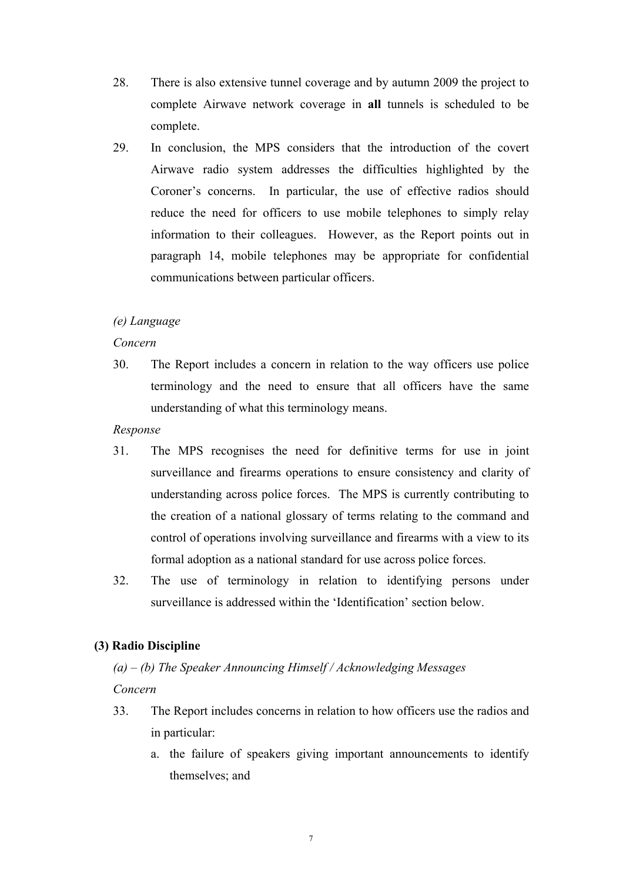- 28. There is also extensive tunnel coverage and by autumn 2009 the project to complete Airwave network coverage in **all** tunnels is scheduled to be complete.
- 29. In conclusion, the MPS considers that the introduction of the covert Airwave radio system addresses the difficulties highlighted by the Coroner's concerns. In particular, the use of effective radios should reduce the need for officers to use mobile telephones to simply relay information to their colleagues. However, as the Report points out in paragraph 14, mobile telephones may be appropriate for confidential communications between particular officers.

# *(e) Language*

#### *Concern*

30. The Report includes a concern in relation to the way officers use police terminology and the need to ensure that all officers have the same understanding of what this terminology means.

## *Response*

- 31. The MPS recognises the need for definitive terms for use in joint surveillance and firearms operations to ensure consistency and clarity of understanding across police forces. The MPS is currently contributing to the creation of a national glossary of terms relating to the command and control of operations involving surveillance and firearms with a view to its formal adoption as a national standard for use across police forces.
- 32. The use of terminology in relation to identifying persons under surveillance is addressed within the 'Identification' section below.

# **(3) Radio Discipline**

# *(a) – (b) The Speaker Announcing Himself / Acknowledging Messages Concern*

- 33. The Report includes concerns in relation to how officers use the radios and in particular:
	- a. the failure of speakers giving important announcements to identify themselves; and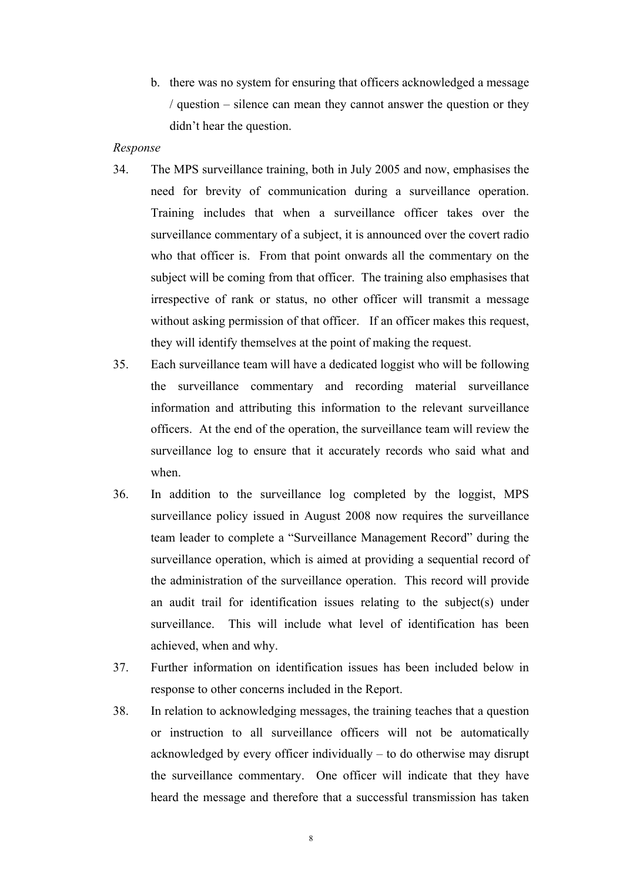- b. there was no system for ensuring that officers acknowledged a message / question – silence can mean they cannot answer the question or they didn't hear the question.
- *Response*
- 34. The MPS surveillance training, both in July 2005 and now, emphasises the need for brevity of communication during a surveillance operation. Training includes that when a surveillance officer takes over the surveillance commentary of a subject, it is announced over the covert radio who that officer is. From that point onwards all the commentary on the subject will be coming from that officer. The training also emphasises that irrespective of rank or status, no other officer will transmit a message without asking permission of that officer. If an officer makes this request, they will identify themselves at the point of making the request.
- 35. Each surveillance team will have a dedicated loggist who will be following the surveillance commentary and recording material surveillance information and attributing this information to the relevant surveillance officers. At the end of the operation, the surveillance team will review the surveillance log to ensure that it accurately records who said what and when.
- 36. In addition to the surveillance log completed by the loggist, MPS surveillance policy issued in August 2008 now requires the surveillance team leader to complete a "Surveillance Management Record" during the surveillance operation, which is aimed at providing a sequential record of the administration of the surveillance operation. This record will provide an audit trail for identification issues relating to the subject(s) under surveillance. This will include what level of identification has been achieved, when and why.
- 37. Further information on identification issues has been included below in response to other concerns included in the Report.
- 38. In relation to acknowledging messages, the training teaches that a question or instruction to all surveillance officers will not be automatically acknowledged by every officer individually – to do otherwise may disrupt the surveillance commentary. One officer will indicate that they have heard the message and therefore that a successful transmission has taken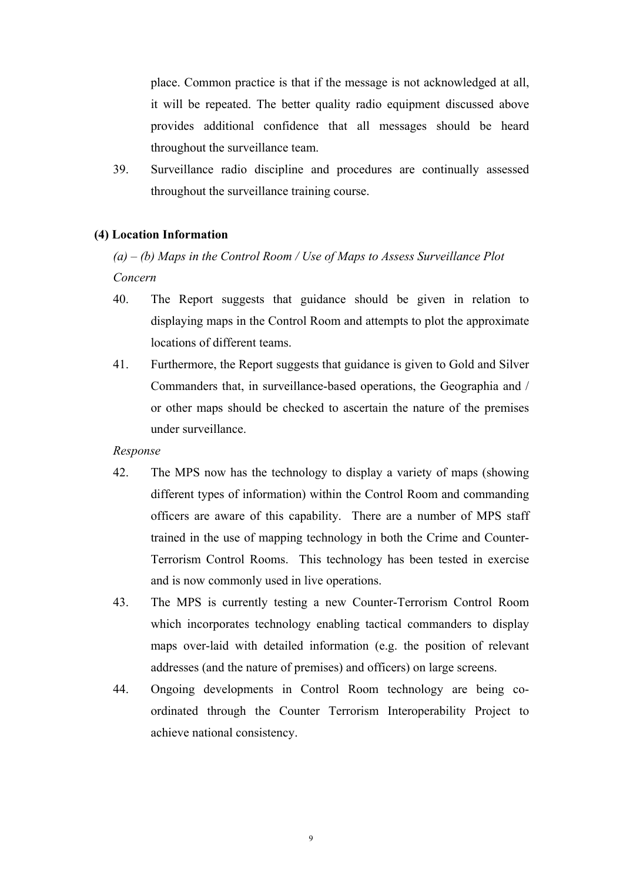place. Common practice is that if the message is not acknowledged at all, it will be repeated. The better quality radio equipment discussed above provides additional confidence that all messages should be heard throughout the surveillance team.

39. Surveillance radio discipline and procedures are continually assessed throughout the surveillance training course.

# **(4) Location Information**

# *(a) – (b) Maps in the Control Room / Use of Maps to Assess Surveillance Plot Concern*

- 40. The Report suggests that guidance should be given in relation to displaying maps in the Control Room and attempts to plot the approximate locations of different teams.
- 41. Furthermore, the Report suggests that guidance is given to Gold and Silver Commanders that, in surveillance-based operations, the Geographia and / or other maps should be checked to ascertain the nature of the premises under surveillance.

- 42. The MPS now has the technology to display a variety of maps (showing different types of information) within the Control Room and commanding officers are aware of this capability. There are a number of MPS staff trained in the use of mapping technology in both the Crime and Counter-Terrorism Control Rooms. This technology has been tested in exercise and is now commonly used in live operations.
- 43. The MPS is currently testing a new Counter-Terrorism Control Room which incorporates technology enabling tactical commanders to display maps over-laid with detailed information (e.g. the position of relevant addresses (and the nature of premises) and officers) on large screens.
- 44. Ongoing developments in Control Room technology are being coordinated through the Counter Terrorism Interoperability Project to achieve national consistency.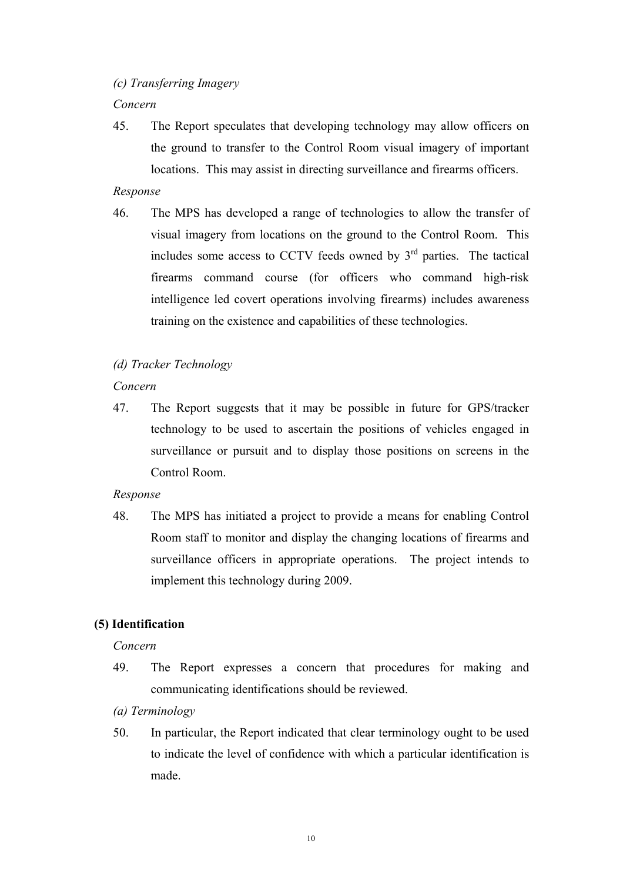# *(c) Transferring Imagery*

#### *Concern*

45. The Report speculates that developing technology may allow officers on the ground to transfer to the Control Room visual imagery of important locations. This may assist in directing surveillance and firearms officers.

## *Response*

46. The MPS has developed a range of technologies to allow the transfer of visual imagery from locations on the ground to the Control Room. This includes some access to CCTV feeds owned by  $3<sup>rd</sup>$  parties. The tactical firearms command course (for officers who command high-risk intelligence led covert operations involving firearms) includes awareness training on the existence and capabilities of these technologies.

## *(d) Tracker Technology*

# *Concern*

47. The Report suggests that it may be possible in future for GPS/tracker technology to be used to ascertain the positions of vehicles engaged in surveillance or pursuit and to display those positions on screens in the Control Room.

#### *Response*

48. The MPS has initiated a project to provide a means for enabling Control Room staff to monitor and display the changing locations of firearms and surveillance officers in appropriate operations. The project intends to implement this technology during 2009.

# **(5) Identification**

#### *Concern*

- 49. The Report expresses a concern that procedures for making and communicating identifications should be reviewed.
- *(a) Terminology*
- 50. In particular, the Report indicated that clear terminology ought to be used to indicate the level of confidence with which a particular identification is made.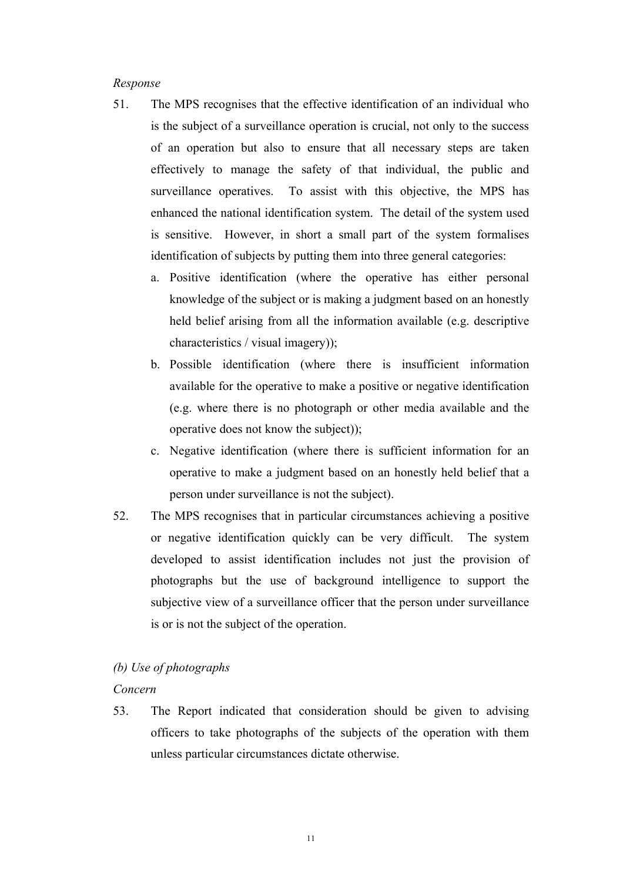#### *Response*

- 51. The MPS recognises that the effective identification of an individual who is the subject of a surveillance operation is crucial, not only to the success of an operation but also to ensure that all necessary steps are taken effectively to manage the safety of that individual, the public and surveillance operatives. To assist with this objective, the MPS has enhanced the national identification system. The detail of the system used is sensitive. However, in short a small part of the system formalises identification of subjects by putting them into three general categories:
	- a. Positive identification (where the operative has either personal knowledge of the subject or is making a judgment based on an honestly held belief arising from all the information available (e.g. descriptive characteristics / visual imagery));
	- b. Possible identification (where there is insufficient information available for the operative to make a positive or negative identification (e.g. where there is no photograph or other media available and the operative does not know the subject));
	- c. Negative identification (where there is sufficient information for an operative to make a judgment based on an honestly held belief that a person under surveillance is not the subject).
- 52. The MPS recognises that in particular circumstances achieving a positive or negative identification quickly can be very difficult. The system developed to assist identification includes not just the provision of photographs but the use of background intelligence to support the subjective view of a surveillance officer that the person under surveillance is or is not the subject of the operation.

## *(b) Use of photographs*

## *Concern*

53. The Report indicated that consideration should be given to advising officers to take photographs of the subjects of the operation with them unless particular circumstances dictate otherwise.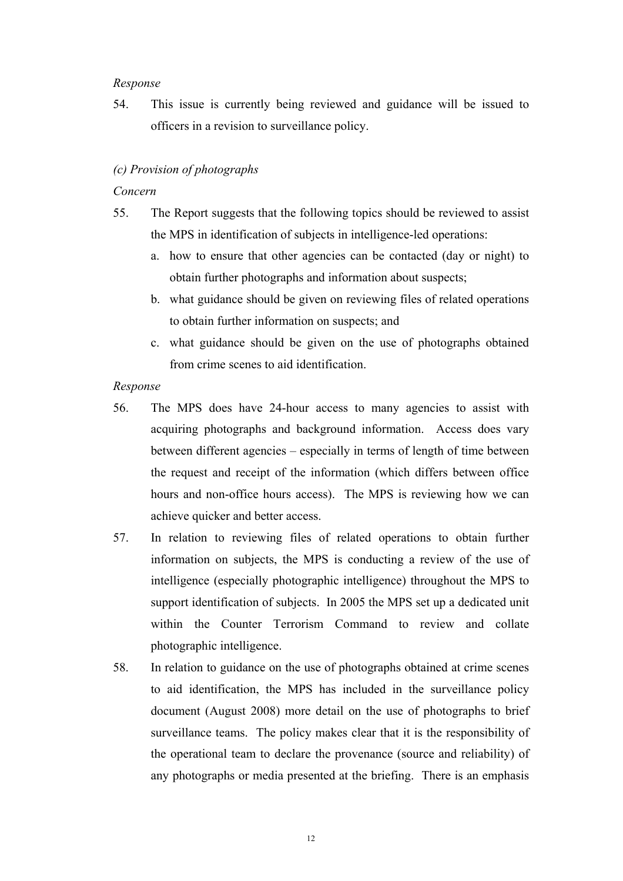#### *Response*

54. This issue is currently being reviewed and guidance will be issued to officers in a revision to surveillance policy.

# *(c) Provision of photographs*

## *Concern*

- 55. The Report suggests that the following topics should be reviewed to assist the MPS in identification of subjects in intelligence-led operations:
	- a. how to ensure that other agencies can be contacted (day or night) to obtain further photographs and information about suspects;
	- b. what guidance should be given on reviewing files of related operations to obtain further information on suspects; and
	- c. what guidance should be given on the use of photographs obtained from crime scenes to aid identification.

- 56. The MPS does have 24-hour access to many agencies to assist with acquiring photographs and background information. Access does vary between different agencies – especially in terms of length of time between the request and receipt of the information (which differs between office hours and non-office hours access). The MPS is reviewing how we can achieve quicker and better access.
- 57. In relation to reviewing files of related operations to obtain further information on subjects, the MPS is conducting a review of the use of intelligence (especially photographic intelligence) throughout the MPS to support identification of subjects. In 2005 the MPS set up a dedicated unit within the Counter Terrorism Command to review and collate photographic intelligence.
- 58. In relation to guidance on the use of photographs obtained at crime scenes to aid identification, the MPS has included in the surveillance policy document (August 2008) more detail on the use of photographs to brief surveillance teams. The policy makes clear that it is the responsibility of the operational team to declare the provenance (source and reliability) of any photographs or media presented at the briefing. There is an emphasis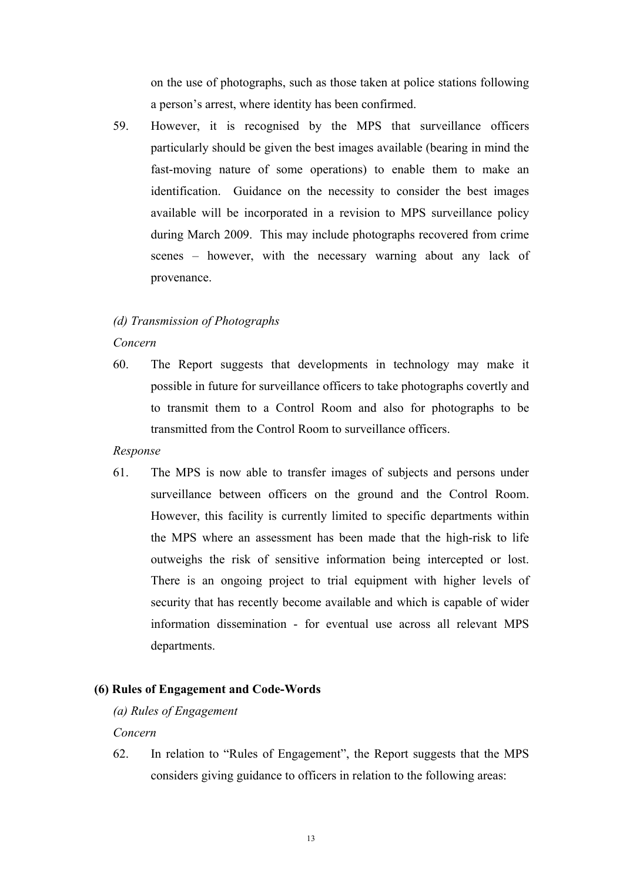on the use of photographs, such as those taken at police stations following a person's arrest, where identity has been confirmed.

59. However, it is recognised by the MPS that surveillance officers particularly should be given the best images available (bearing in mind the fast-moving nature of some operations) to enable them to make an identification. Guidance on the necessity to consider the best images available will be incorporated in a revision to MPS surveillance policy during March 2009. This may include photographs recovered from crime scenes – however, with the necessary warning about any lack of provenance.

#### *(d) Transmission of Photographs*

#### *Concern*

60. The Report suggests that developments in technology may make it possible in future for surveillance officers to take photographs covertly and to transmit them to a Control Room and also for photographs to be transmitted from the Control Room to surveillance officers.

#### *Response*

61. The MPS is now able to transfer images of subjects and persons under surveillance between officers on the ground and the Control Room. However, this facility is currently limited to specific departments within the MPS where an assessment has been made that the high-risk to life outweighs the risk of sensitive information being intercepted or lost. There is an ongoing project to trial equipment with higher levels of security that has recently become available and which is capable of wider information dissemination - for eventual use across all relevant MPS departments.

## **(6) Rules of Engagement and Code-Words**

#### *(a) Rules of Engagement*

*Concern* 

62. In relation to "Rules of Engagement", the Report suggests that the MPS considers giving guidance to officers in relation to the following areas: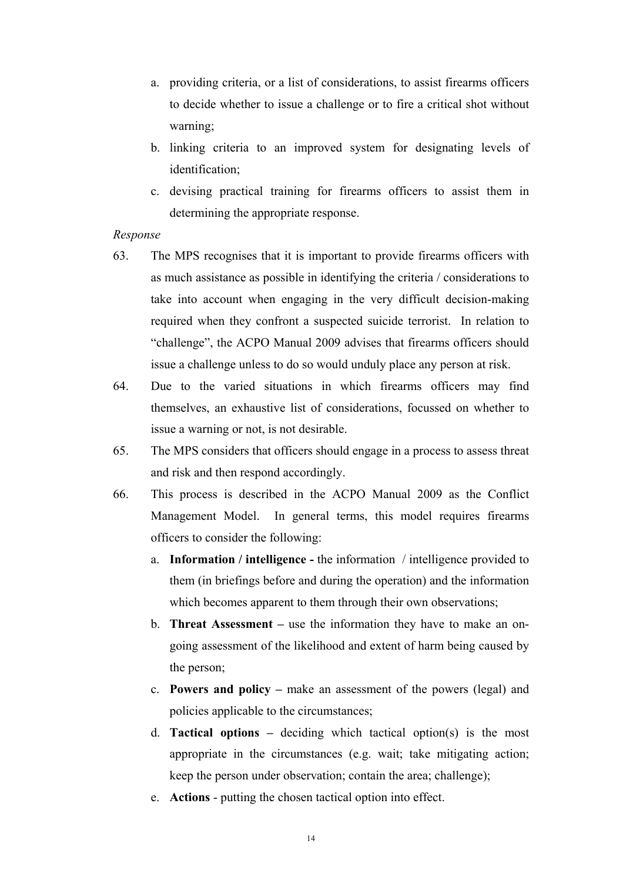- a. providing criteria, or a list of considerations, to assist firearms officers to decide whether to issue a challenge or to fire a critical shot without warning;
- b. linking criteria to an improved system for designating levels of identification;
- c. devising practical training for firearms officers to assist them in determining the appropriate response.

- 63. The MPS recognises that it is important to provide firearms officers with as much assistance as possible in identifying the criteria / considerations to take into account when engaging in the very difficult decision-making required when they confront a suspected suicide terrorist. In relation to "challenge", the ACPO Manual 2009 advises that firearms officers should issue a challenge unless to do so would unduly place any person at risk.
- 64. Due to the varied situations in which firearms officers may find themselves, an exhaustive list of considerations, focussed on whether to issue a warning or not, is not desirable.
- 65. The MPS considers that officers should engage in a process to assess threat and risk and then respond accordingly.
- 66. This process is described in the ACPO Manual 2009 as the Conflict Management Model. In general terms, this model requires firearms officers to consider the following:
	- a. **Information / intelligence** the information / intelligence provided to them (in briefings before and during the operation) and the information which becomes apparent to them through their own observations:
	- b. **Threat Assessment** use the information they have to make an ongoing assessment of the likelihood and extent of harm being caused by the person;
	- c. **Powers and policy** make an assessment of the powers (legal) and policies applicable to the circumstances;
	- d. **Tactical options –** deciding which tactical option(s) is the most appropriate in the circumstances (e.g. wait; take mitigating action; keep the person under observation; contain the area; challenge);
	- e. **Actions** putting the chosen tactical option into effect.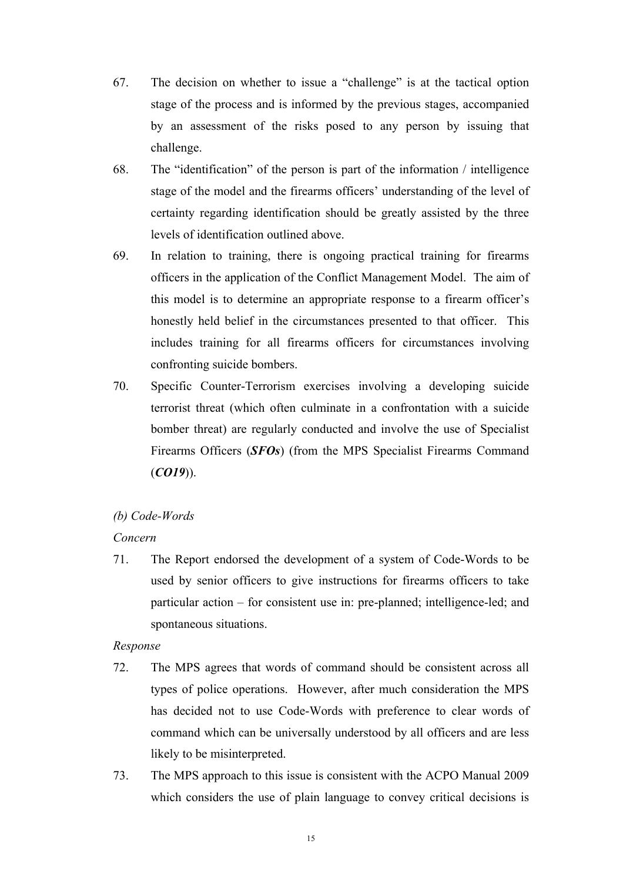- 67. The decision on whether to issue a "challenge" is at the tactical option stage of the process and is informed by the previous stages, accompanied by an assessment of the risks posed to any person by issuing that challenge.
- 68. The "identification" of the person is part of the information / intelligence stage of the model and the firearms officers' understanding of the level of certainty regarding identification should be greatly assisted by the three levels of identification outlined above.
- 69. In relation to training, there is ongoing practical training for firearms officers in the application of the Conflict Management Model. The aim of this model is to determine an appropriate response to a firearm officer's honestly held belief in the circumstances presented to that officer. This includes training for all firearms officers for circumstances involving confronting suicide bombers.
- 70. Specific Counter-Terrorism exercises involving a developing suicide terrorist threat (which often culminate in a confrontation with a suicide bomber threat) are regularly conducted and involve the use of Specialist Firearms Officers (*SFOs*) (from the MPS Specialist Firearms Command (*CO19*)).

# *(b) Code-Words*

# *Concern*

71. The Report endorsed the development of a system of Code-Words to be used by senior officers to give instructions for firearms officers to take particular action – for consistent use in: pre-planned; intelligence-led; and spontaneous situations.

- 72. The MPS agrees that words of command should be consistent across all types of police operations. However, after much consideration the MPS has decided not to use Code-Words with preference to clear words of command which can be universally understood by all officers and are less likely to be misinterpreted.
- 73. The MPS approach to this issue is consistent with the ACPO Manual 2009 which considers the use of plain language to convey critical decisions is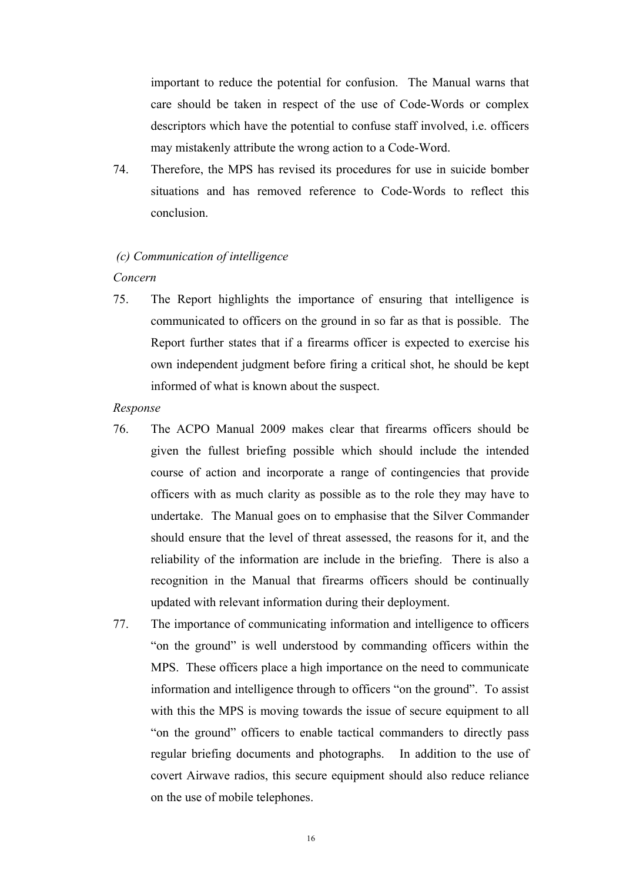important to reduce the potential for confusion. The Manual warns that care should be taken in respect of the use of Code-Words or complex descriptors which have the potential to confuse staff involved, i.e. officers may mistakenly attribute the wrong action to a Code-Word.

74. Therefore, the MPS has revised its procedures for use in suicide bomber situations and has removed reference to Code-Words to reflect this conclusion.

#### *(c) Communication of intelligence*

#### *Concern*

- 75. The Report highlights the importance of ensuring that intelligence is communicated to officers on the ground in so far as that is possible. The Report further states that if a firearms officer is expected to exercise his own independent judgment before firing a critical shot, he should be kept informed of what is known about the suspect.
- *Response*
- 76. The ACPO Manual 2009 makes clear that firearms officers should be given the fullest briefing possible which should include the intended course of action and incorporate a range of contingencies that provide officers with as much clarity as possible as to the role they may have to undertake. The Manual goes on to emphasise that the Silver Commander should ensure that the level of threat assessed, the reasons for it, and the reliability of the information are include in the briefing. There is also a recognition in the Manual that firearms officers should be continually updated with relevant information during their deployment.
- 77. The importance of communicating information and intelligence to officers "on the ground" is well understood by commanding officers within the MPS. These officers place a high importance on the need to communicate information and intelligence through to officers "on the ground". To assist with this the MPS is moving towards the issue of secure equipment to all "on the ground" officers to enable tactical commanders to directly pass regular briefing documents and photographs. In addition to the use of covert Airwave radios, this secure equipment should also reduce reliance on the use of mobile telephones.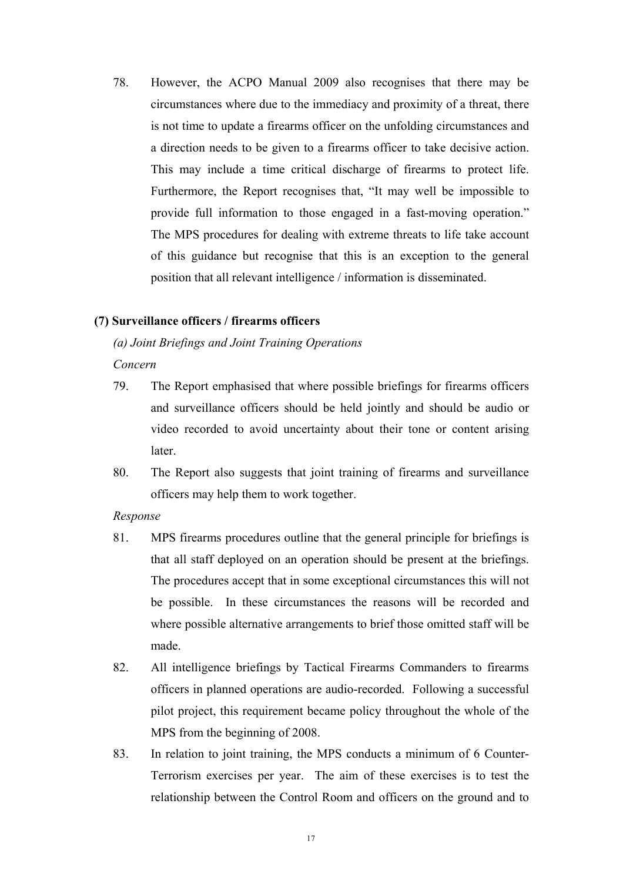78. However, the ACPO Manual 2009 also recognises that there may be circumstances where due to the immediacy and proximity of a threat, there is not time to update a firearms officer on the unfolding circumstances and a direction needs to be given to a firearms officer to take decisive action. This may include a time critical discharge of firearms to protect life. Furthermore, the Report recognises that, "It may well be impossible to provide full information to those engaged in a fast-moving operation." The MPS procedures for dealing with extreme threats to life take account of this guidance but recognise that this is an exception to the general position that all relevant intelligence / information is disseminated.

# **(7) Surveillance officers / firearms officers**

# *(a) Joint Briefings and Joint Training Operations*

*Concern* 

- 79. The Report emphasised that where possible briefings for firearms officers and surveillance officers should be held jointly and should be audio or video recorded to avoid uncertainty about their tone or content arising later.
- 80. The Report also suggests that joint training of firearms and surveillance officers may help them to work together.

- 81. MPS firearms procedures outline that the general principle for briefings is that all staff deployed on an operation should be present at the briefings. The procedures accept that in some exceptional circumstances this will not be possible. In these circumstances the reasons will be recorded and where possible alternative arrangements to brief those omitted staff will be made.
- 82. All intelligence briefings by Tactical Firearms Commanders to firearms officers in planned operations are audio-recorded. Following a successful pilot project, this requirement became policy throughout the whole of the MPS from the beginning of 2008.
- 83. In relation to joint training, the MPS conducts a minimum of 6 Counter-Terrorism exercises per year. The aim of these exercises is to test the relationship between the Control Room and officers on the ground and to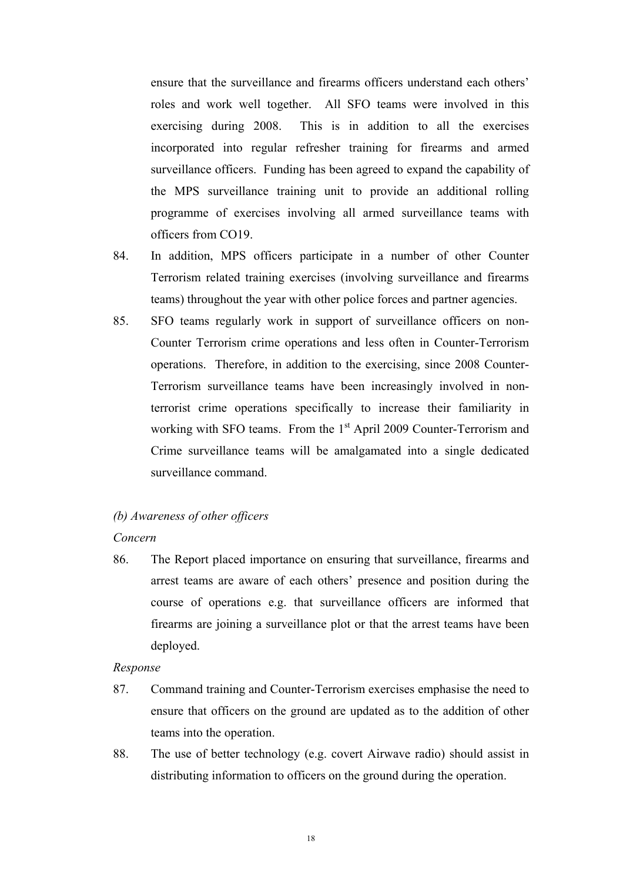ensure that the surveillance and firearms officers understand each others' roles and work well together. All SFO teams were involved in this exercising during 2008. This is in addition to all the exercises incorporated into regular refresher training for firearms and armed surveillance officers. Funding has been agreed to expand the capability of the MPS surveillance training unit to provide an additional rolling programme of exercises involving all armed surveillance teams with officers from CO19.

- 84. In addition, MPS officers participate in a number of other Counter Terrorism related training exercises (involving surveillance and firearms teams) throughout the year with other police forces and partner agencies.
- 85. SFO teams regularly work in support of surveillance officers on non-Counter Terrorism crime operations and less often in Counter-Terrorism operations. Therefore, in addition to the exercising, since 2008 Counter-Terrorism surveillance teams have been increasingly involved in nonterrorist crime operations specifically to increase their familiarity in working with SFO teams. From the  $1<sup>st</sup>$  April 2009 Counter-Terrorism and Crime surveillance teams will be amalgamated into a single dedicated surveillance command.

# *(b) Awareness of other officers*

#### *Concern*

86. The Report placed importance on ensuring that surveillance, firearms and arrest teams are aware of each others' presence and position during the course of operations e.g. that surveillance officers are informed that firearms are joining a surveillance plot or that the arrest teams have been deployed.

- 87. Command training and Counter-Terrorism exercises emphasise the need to ensure that officers on the ground are updated as to the addition of other teams into the operation.
- 88. The use of better technology (e.g. covert Airwave radio) should assist in distributing information to officers on the ground during the operation.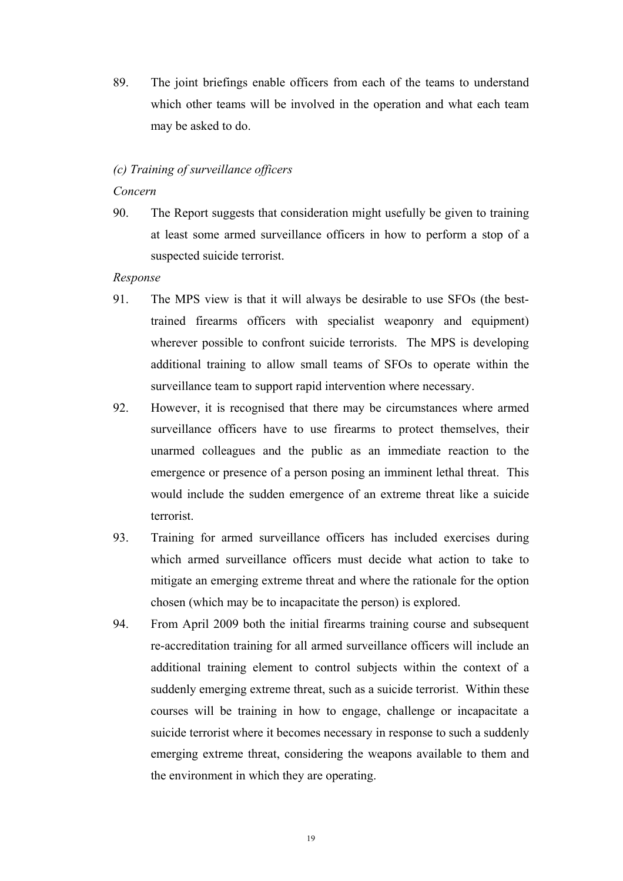89. The joint briefings enable officers from each of the teams to understand which other teams will be involved in the operation and what each team may be asked to do.

#### *(c) Training of surveillance officers*

#### *Concern*

90. The Report suggests that consideration might usefully be given to training at least some armed surveillance officers in how to perform a stop of a suspected suicide terrorist.

- 91. The MPS view is that it will always be desirable to use SFOs (the besttrained firearms officers with specialist weaponry and equipment) wherever possible to confront suicide terrorists. The MPS is developing additional training to allow small teams of SFOs to operate within the surveillance team to support rapid intervention where necessary.
- 92. However, it is recognised that there may be circumstances where armed surveillance officers have to use firearms to protect themselves, their unarmed colleagues and the public as an immediate reaction to the emergence or presence of a person posing an imminent lethal threat. This would include the sudden emergence of an extreme threat like a suicide terrorist.
- 93. Training for armed surveillance officers has included exercises during which armed surveillance officers must decide what action to take to mitigate an emerging extreme threat and where the rationale for the option chosen (which may be to incapacitate the person) is explored.
- 94. From April 2009 both the initial firearms training course and subsequent re-accreditation training for all armed surveillance officers will include an additional training element to control subjects within the context of a suddenly emerging extreme threat, such as a suicide terrorist. Within these courses will be training in how to engage, challenge or incapacitate a suicide terrorist where it becomes necessary in response to such a suddenly emerging extreme threat, considering the weapons available to them and the environment in which they are operating.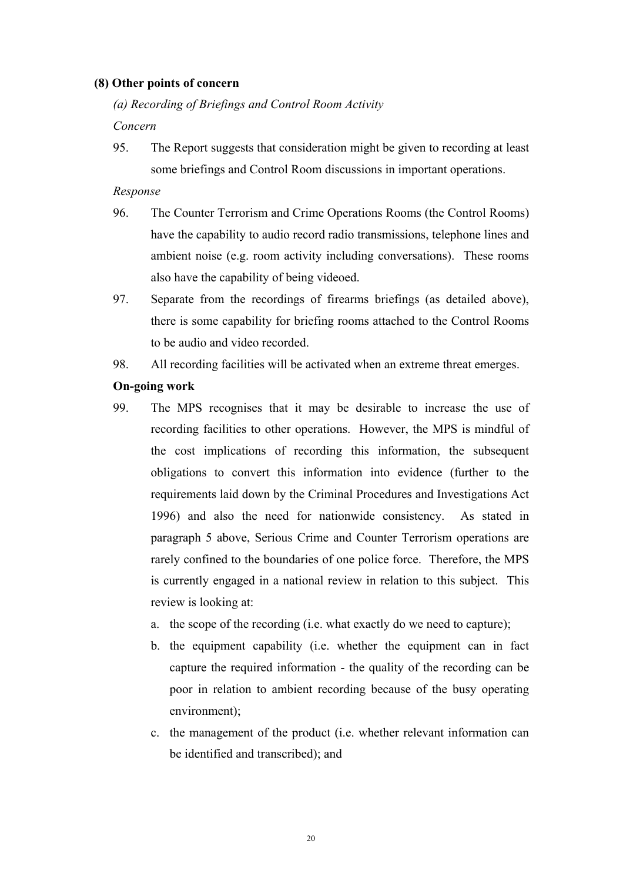## **(8) Other points of concern**

*(a) Recording of Briefings and Control Room Activity* 

*Concern* 

95. The Report suggests that consideration might be given to recording at least some briefings and Control Room discussions in important operations.

## *Response*

- 96. The Counter Terrorism and Crime Operations Rooms (the Control Rooms) have the capability to audio record radio transmissions, telephone lines and ambient noise (e.g. room activity including conversations). These rooms also have the capability of being videoed.
- 97. Separate from the recordings of firearms briefings (as detailed above), there is some capability for briefing rooms attached to the Control Rooms to be audio and video recorded.
- 98. All recording facilities will be activated when an extreme threat emerges.

# **On-going work**

- 99. The MPS recognises that it may be desirable to increase the use of recording facilities to other operations. However, the MPS is mindful of the cost implications of recording this information, the subsequent obligations to convert this information into evidence (further to the requirements laid down by the Criminal Procedures and Investigations Act 1996) and also the need for nationwide consistency. As stated in paragraph 5 above, Serious Crime and Counter Terrorism operations are rarely confined to the boundaries of one police force. Therefore, the MPS is currently engaged in a national review in relation to this subject. This review is looking at:
	- a. the scope of the recording (i.e. what exactly do we need to capture);
	- b. the equipment capability (i.e. whether the equipment can in fact capture the required information - the quality of the recording can be poor in relation to ambient recording because of the busy operating environment);
	- c. the management of the product (i.e. whether relevant information can be identified and transcribed); and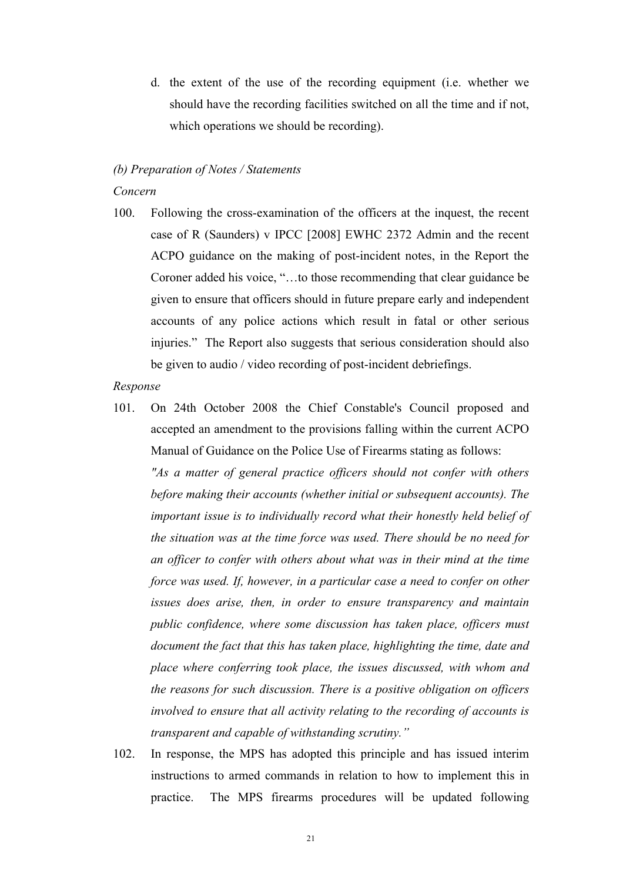d. the extent of the use of the recording equipment (i.e. whether we should have the recording facilities switched on all the time and if not, which operations we should be recording).

# *(b) Preparation of Notes / Statements*

## *Concern*

100. Following the cross-examination of the officers at the inquest, the recent case of R (Saunders) v IPCC [2008] EWHC 2372 Admin and the recent ACPO guidance on the making of post-incident notes, in the Report the Coroner added his voice, "…to those recommending that clear guidance be given to ensure that officers should in future prepare early and independent accounts of any police actions which result in fatal or other serious injuries." The Report also suggests that serious consideration should also be given to audio / video recording of post-incident debriefings.

#### *Response*

101. On 24th October 2008 the Chief Constable's Council proposed and accepted an amendment to the provisions falling within the current ACPO Manual of Guidance on the Police Use of Firearms stating as follows:

*"As a matter of general practice officers should not confer with others before making their accounts (whether initial or subsequent accounts). The important issue is to individually record what their honestly held belief of the situation was at the time force was used. There should be no need for an officer to confer with others about what was in their mind at the time force was used. If, however, in a particular case a need to confer on other issues does arise, then, in order to ensure transparency and maintain public confidence, where some discussion has taken place, officers must document the fact that this has taken place, highlighting the time, date and place where conferring took place, the issues discussed, with whom and the reasons for such discussion. There is a positive obligation on officers involved to ensure that all activity relating to the recording of accounts is transparent and capable of withstanding scrutiny."* 

102. In response, the MPS has adopted this principle and has issued interim instructions to armed commands in relation to how to implement this in practice. The MPS firearms procedures will be updated following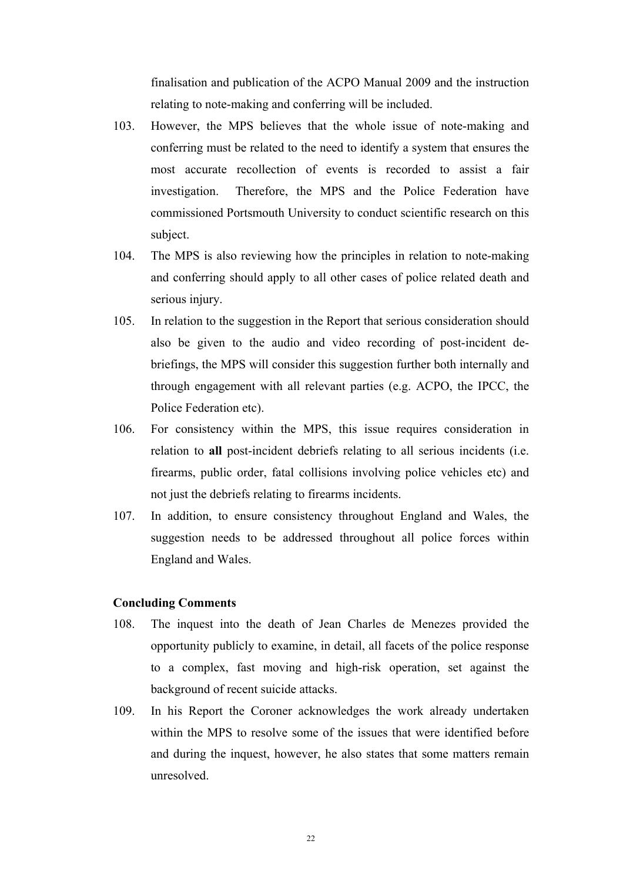finalisation and publication of the ACPO Manual 2009 and the instruction relating to note-making and conferring will be included.

- 103. However, the MPS believes that the whole issue of note-making and conferring must be related to the need to identify a system that ensures the most accurate recollection of events is recorded to assist a fair investigation. Therefore, the MPS and the Police Federation have commissioned Portsmouth University to conduct scientific research on this subject.
- 104. The MPS is also reviewing how the principles in relation to note-making and conferring should apply to all other cases of police related death and serious injury.
- 105. In relation to the suggestion in the Report that serious consideration should also be given to the audio and video recording of post-incident debriefings, the MPS will consider this suggestion further both internally and through engagement with all relevant parties (e.g. ACPO, the IPCC, the Police Federation etc).
- 106. For consistency within the MPS, this issue requires consideration in relation to **all** post-incident debriefs relating to all serious incidents (i.e. firearms, public order, fatal collisions involving police vehicles etc) and not just the debriefs relating to firearms incidents.
- 107. In addition, to ensure consistency throughout England and Wales, the suggestion needs to be addressed throughout all police forces within England and Wales.

#### **Concluding Comments**

- 108. The inquest into the death of Jean Charles de Menezes provided the opportunity publicly to examine, in detail, all facets of the police response to a complex, fast moving and high-risk operation, set against the background of recent suicide attacks.
- 109. In his Report the Coroner acknowledges the work already undertaken within the MPS to resolve some of the issues that were identified before and during the inquest, however, he also states that some matters remain unresolved.